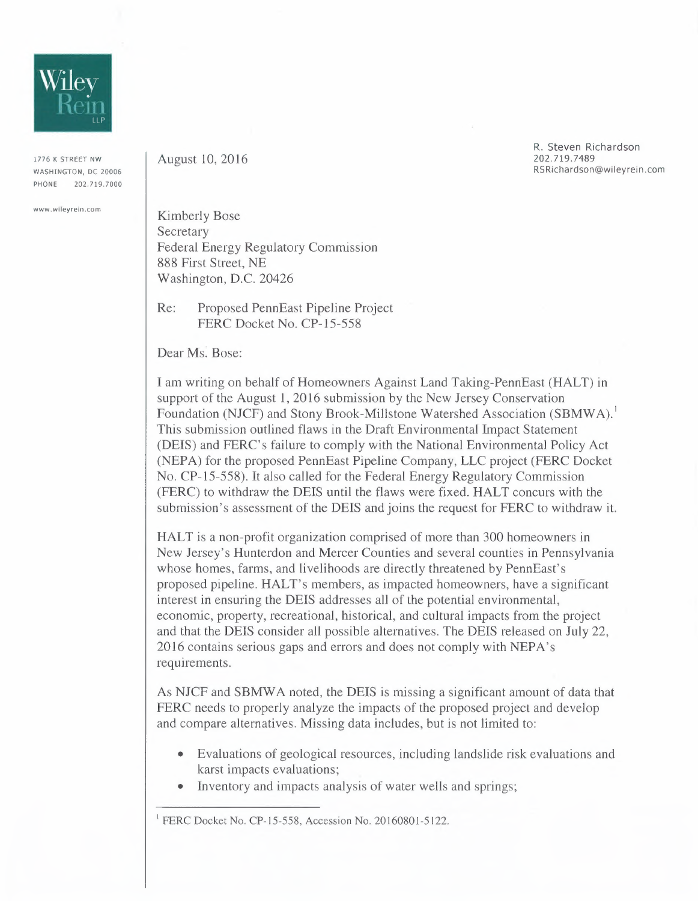

1776 K STREET NW WASHINGTON, DC 20006 PHONE 202.719.7000

**www.wileyrein.com** 

August 10,2016

R. Steven Richardson 202.719.7489 RSRichardson@wileyrein.com

Kimberly Bose **Secretary** Federal Energy Regulatory Commission 888 First Street, NE Washington, D.C. 20426

Re: Proposed PennEast Pipeline Project FERC Docket No. *CP-1S-SS8* 

Dear Ms. Bose:

I am writing on behalf of Homeowners Against Land Taking-PennEast (HALT) in support of the August 1, 2016 submission by the New Jersey Conservation Foundation (NJCF) and Stony Brook-Millstone Watershed Association (SBMWA). This submission outlined flaws in the Draft Environmental Impact Statement (DEIS) and FERC's failure to comply with the National Environmental Policy Act (NEPA) for the proposed PennEast Pipeline Company, LLC project (FERC Docket No. CP-l *S-SS8).* It also called for the Federal Energy Regulatory Commission (FERC) to withdraw the DEIS until the flaws were fixed. HALT concurs with the submission's assessment of the DEIS and joins the request for FERC to withdraw it.

HALT is a non-profit organization comprised of more than 300 homeowners in New Jersey's Hunterdon and Mercer Counties and several counties in Pennsylvania whose homes, farms, and livelihoods are directly threatened by PennEast's proposed pipeline. HALT's members, as impacted homeowners, have a significant interest in ensuring the DEIS addresses all of the potential environmental, economic, property, recreational, historical, and cultural impacts from the project and that the DEIS consider all possible alternatives. The DEIS released on July 22, 2016 contains serious gaps and errors and does not comply with NEPA's requirements.

As NJCF and SBMWA noted, the DEIS is missing a significant amount of data that FERC needs to properly analyze the impacts of the proposed project and develop and compare alternatives. Missing data includes, but is not limited to:

- Evaluations of geological resources, including landslide risk evaluations and karst impacts evaluations;
- Inventory and impacts analysis of water wells and springs;

<sup>&</sup>lt;sup>1</sup> FERC Docket No. CP-15-558, Accession No. 20160801-5122.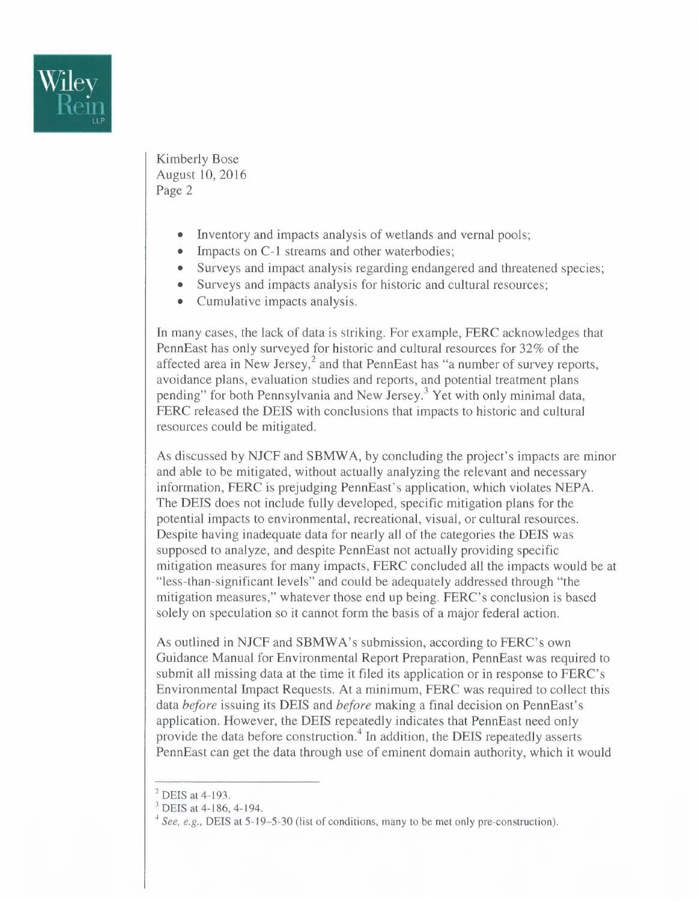

Kimberly Bose August 10,2016 Page 2

- Inventory and impacts analysis of wetlands and vernal pools;
- Impacts on C-1 streams and other waterbodies;
- Surveys and impact analysis regarding endangered and threatened species;
- Surveys and impacts analysis for historic and cultural resources;
- Cumulative impacts analysis.

**In** many cases, the lack of data is striking. For example, FERC acknowledges that PennEast has only surveyed for historic and cultural resources for 32% of the affected area in New Jersey,<sup>2</sup> and that PennEast has "a number of survey reports, avoidance plans, evaluation studies and reports, and potential treatment plans pending" for both Pennsylvania and New Jersey.<sup>3</sup> Yet with only minimal data, FERC released the DEIS with conclusions that impacts to historic and cultural resources could be mitigated.

As discussed by NJCF and SBMW A, by concluding the project's impacts are minor and able to be mitigated, without actually analyzing the relevant and necessary information, FERC is prejudging PennEast's application, which violates NEPA. The DEIS does not include fully developed, specific mitigation plans for the potential impacts to environmental, recreational, visual, or cultural resources. Despite having inadequate data for nearly all of the categories the DEIS was supposed to analyze, and despite PennEast not actually providing specific mitigation measures for many impacts, FERC concluded all the impacts would be at "less-than-significant levels" and could be adequately addressed through "the mitigation measures," whatever those end up being. FERC's conclusion is based solely on speculation so it cannot form the basis of a major federal action.

As outlined in NJCF and SBMW A's submission, according to FERC's own Guidance Manual for Environmental Report Preparation, PennEast was required to submit all missing data at the time it filed its application or in response to FERC's Environmental Impact Requests. At a minimum, FERC was required to collect this data *before* issuing its DEIS and *before* making a final decision on PennEast's application. However, the DEIS repeatedly indicates that PennEast need only provide the data before construction.<sup>4</sup> In addition, the DEIS repeatedly asserts PennEast can get the data through use of eminent domain authority, which it would

 $<sup>2</sup>$  DEIS at 4-193.</sup>

<sup>&</sup>lt;sup>3</sup> DEIS at 4-186, 4-194.

*<sup>4</sup> See, e.g.,* DEIS at 5-19-5-30 (list of conditions, many to be met only pre-construction).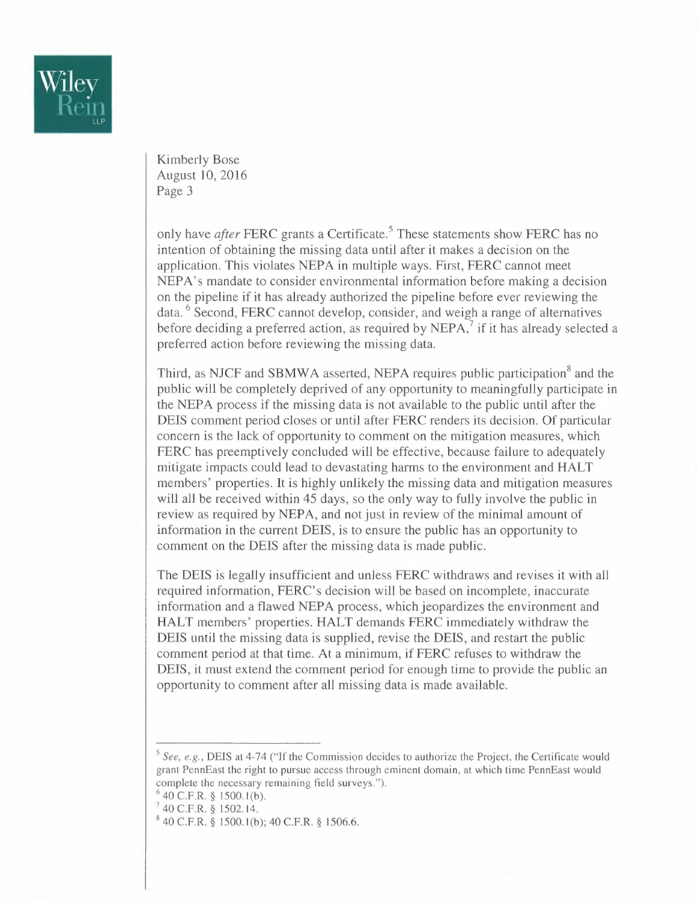

Kimberly Bose August 10,2016 Page 3

only have *after* FERC grants a Certificate.<sup>5</sup> These statements show FERC has no intention of obtaining the missing data until after it makes a decision on the application. This violates NEPA in multiple ways. First, FERC cannot meet NEPA's mandate to consider environmental information before making a decision on the pipeline if it has already authorized the pipeline before ever reviewing the data. <sup>6</sup> Second, FERC cannot develop, consider, and weigh a range of alternatives before deciding a preferred action, as required by  $NEPA$ , if it has already selected a preferred action before reviewing the missing data.

Third, as NJCF and SBMWA asserted, NEPA requires public participation<sup>8</sup> and the public will be completely deprived of any opportunity to meaningfully participate in the NEPA process if the missing data is not available to the public until after the DEIS comment period closes or until after FERC renders its decision. Of particular concern is the lack of opportunity to comment on the mitigation measures, which FERC has preemptively concluded will be effective, because failure to adequately mitigate impacts could lead to devastating harms to the environment and HALT members' properties. It is highly unlikely the missing data and mitigation measures will all be received within 45 days, so the only way to fully involve the public in review as required by NEPA, and not just in review of the minimal amount of information in the current DEIS, is to ensure the public has an opportunity to comment on the DEIS after the missing data is made public.

The DEIS is legally insufficient and unless FERC withdraws and revises it with all required information, FERC's decision will be based on incomplete, inaccurate information and a flawed NEPA process, which jeopardizes the environment and HALT members' properties. HALT demands FERC immediately withdraw the DEIS until the missing data is supplied, revise the DEIS, and restart the public comment period at that time. At a minimum, if FERC refuses to withdraw the DEIS, it must extend the comment period for enough time to provide the public an opportunity to comment after all missing data is made available.

<sup>&</sup>lt;sup>5</sup> See, e.g., DEIS at 4-74 ("If the Commission decides to authorize the Project, the Certificate would grant PennEast the right to pursue access through eminent domain, at which time PennEast would complete the necessary remaining field surveys.").

 $640$  C.F.R. § 1500.1(b).

<sup>7</sup>40 C.F.R. § 1502.14.

<sup>8</sup>40 C.F.R. § ISOO.l(b); 40 C.F.R. § J *506.6.*